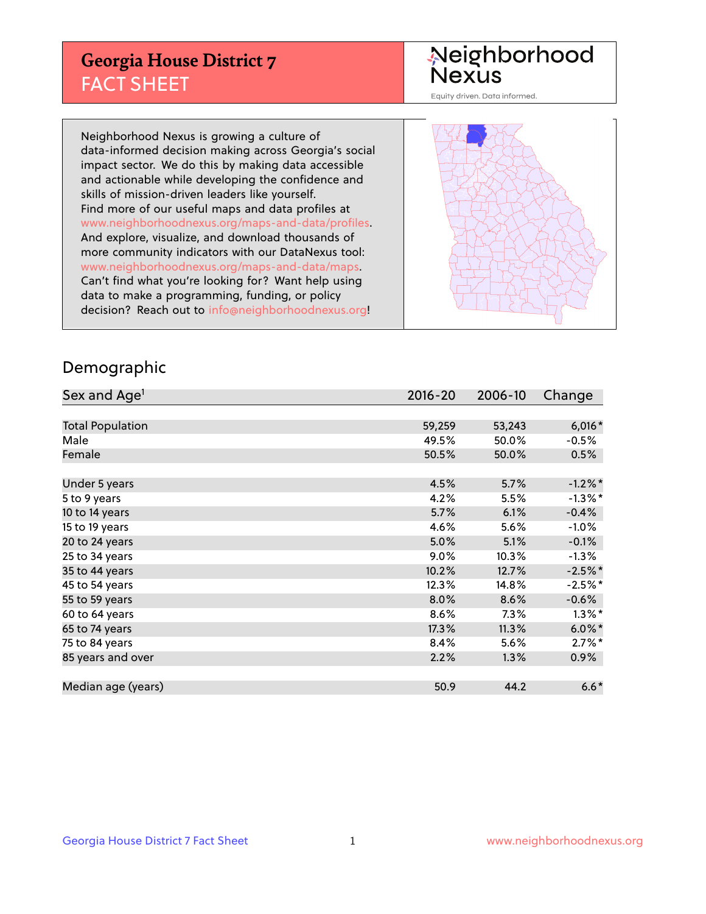## **Georgia House District 7** FACT SHEET

# Neighborhood<br>Nexus

Equity driven. Data informed.

Neighborhood Nexus is growing a culture of data-informed decision making across Georgia's social impact sector. We do this by making data accessible and actionable while developing the confidence and skills of mission-driven leaders like yourself. Find more of our useful maps and data profiles at www.neighborhoodnexus.org/maps-and-data/profiles. And explore, visualize, and download thousands of more community indicators with our DataNexus tool: www.neighborhoodnexus.org/maps-and-data/maps. Can't find what you're looking for? Want help using data to make a programming, funding, or policy decision? Reach out to [info@neighborhoodnexus.org!](mailto:info@neighborhoodnexus.org)



### Demographic

| Sex and Age <sup>1</sup> | $2016 - 20$ | 2006-10 | Change     |
|--------------------------|-------------|---------|------------|
|                          |             |         |            |
| <b>Total Population</b>  | 59,259      | 53,243  | $6,016*$   |
| Male                     | 49.5%       | 50.0%   | $-0.5%$    |
| Female                   | 50.5%       | 50.0%   | 0.5%       |
|                          |             |         |            |
| Under 5 years            | 4.5%        | 5.7%    | $-1.2\%$ * |
| 5 to 9 years             | 4.2%        | 5.5%    | $-1.3\%$ * |
| 10 to 14 years           | 5.7%        | 6.1%    | $-0.4%$    |
| 15 to 19 years           | 4.6%        | 5.6%    | $-1.0%$    |
| 20 to 24 years           | 5.0%        | 5.1%    | $-0.1%$    |
| 25 to 34 years           | $9.0\%$     | 10.3%   | $-1.3\%$   |
| 35 to 44 years           | 10.2%       | 12.7%   | $-2.5%$ *  |
| 45 to 54 years           | 12.3%       | 14.8%   | $-2.5%$ *  |
| 55 to 59 years           | 8.0%        | 8.6%    | $-0.6%$    |
| 60 to 64 years           | 8.6%        | 7.3%    | $1.3\%$ *  |
| 65 to 74 years           | 17.3%       | 11.3%   | $6.0\%$ *  |
| 75 to 84 years           | 8.4%        | 5.6%    | $2.7\%$ *  |
| 85 years and over        | 2.2%        | 1.3%    | 0.9%       |
|                          |             |         |            |
| Median age (years)       | 50.9        | 44.2    | $6.6*$     |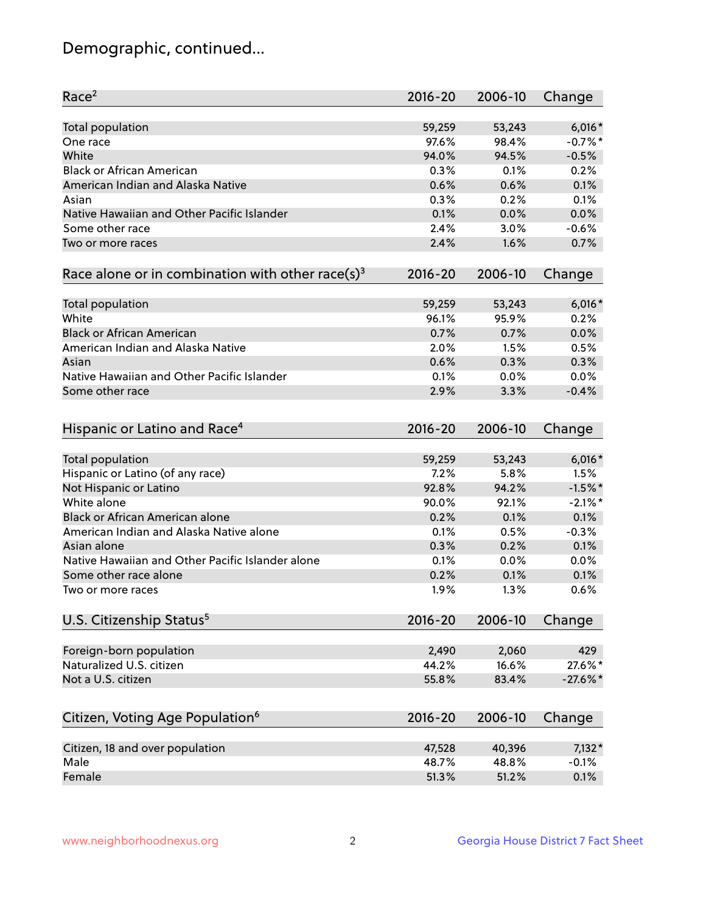## Demographic, continued...

| Race <sup>2</sup>                                            | $2016 - 20$    | 2006-10        | Change        |
|--------------------------------------------------------------|----------------|----------------|---------------|
| <b>Total population</b>                                      | 59,259         | 53,243         | $6,016*$      |
| One race                                                     | 97.6%          | 98.4%          | $-0.7%$ *     |
| White                                                        | 94.0%          | 94.5%          | $-0.5%$       |
| <b>Black or African American</b>                             | 0.3%           | 0.1%           | 0.2%          |
| American Indian and Alaska Native                            | 0.6%           | 0.6%           | 0.1%          |
| Asian                                                        | 0.3%           | 0.2%           | 0.1%          |
| Native Hawaiian and Other Pacific Islander                   | 0.1%           | 0.0%           | 0.0%          |
| Some other race                                              | 2.4%           | 3.0%           | $-0.6%$       |
| Two or more races                                            | 2.4%           | 1.6%           | 0.7%          |
| Race alone or in combination with other race(s) <sup>3</sup> | $2016 - 20$    | 2006-10        | Change        |
| Total population                                             | 59,259         | 53,243         | $6,016*$      |
| White                                                        | 96.1%          | 95.9%          | 0.2%          |
| <b>Black or African American</b>                             | 0.7%           | 0.7%           | 0.0%          |
| American Indian and Alaska Native                            | 2.0%           | 1.5%           | 0.5%          |
| Asian                                                        | 0.6%           | 0.3%           | 0.3%          |
| Native Hawaiian and Other Pacific Islander                   | 0.1%           | 0.0%           | 0.0%          |
| Some other race                                              | 2.9%           | 3.3%           | $-0.4%$       |
|                                                              |                |                |               |
| Hispanic or Latino and Race <sup>4</sup>                     | $2016 - 20$    | 2006-10        | Change        |
| <b>Total population</b>                                      | 59,259         | 53,243         | $6,016*$      |
| Hispanic or Latino (of any race)                             | 7.2%           | 5.8%           | 1.5%          |
| Not Hispanic or Latino                                       | 92.8%          | 94.2%          | $-1.5%$ *     |
| White alone                                                  | 90.0%          | 92.1%          | $-2.1\%$ *    |
| <b>Black or African American alone</b>                       | 0.2%           | 0.1%           | 0.1%          |
| American Indian and Alaska Native alone                      | 0.1%           | 0.5%           | $-0.3%$       |
| Asian alone                                                  | 0.3%           | 0.2%           | 0.1%          |
| Native Hawaiian and Other Pacific Islander alone             | 0.1%           | 0.0%           | 0.0%          |
| Some other race alone                                        | 0.2%           | 0.1%           | 0.1%          |
| Two or more races                                            | 1.9%           | 1.3%           | 0.6%          |
| U.S. Citizenship Status <sup>5</sup>                         | $2016 - 20$    | 2006-10        | Change        |
|                                                              |                |                |               |
| Foreign-born population<br>Naturalized U.S. citizen          | 2,490<br>44.2% | 2,060<br>16.6% | 429<br>27.6%* |
| Not a U.S. citizen                                           |                |                |               |
|                                                              | 55.8%          | 83.4%          | $-27.6%$      |
| Citizen, Voting Age Population <sup>6</sup>                  | 2016-20        | 2006-10        | Change        |
| Citizen, 18 and over population                              | 47,528         | 40,396         | $7,132*$      |
| Male                                                         | 48.7%          | 48.8%          | $-0.1%$       |
| Female                                                       | 51.3%          | 51.2%          | 0.1%          |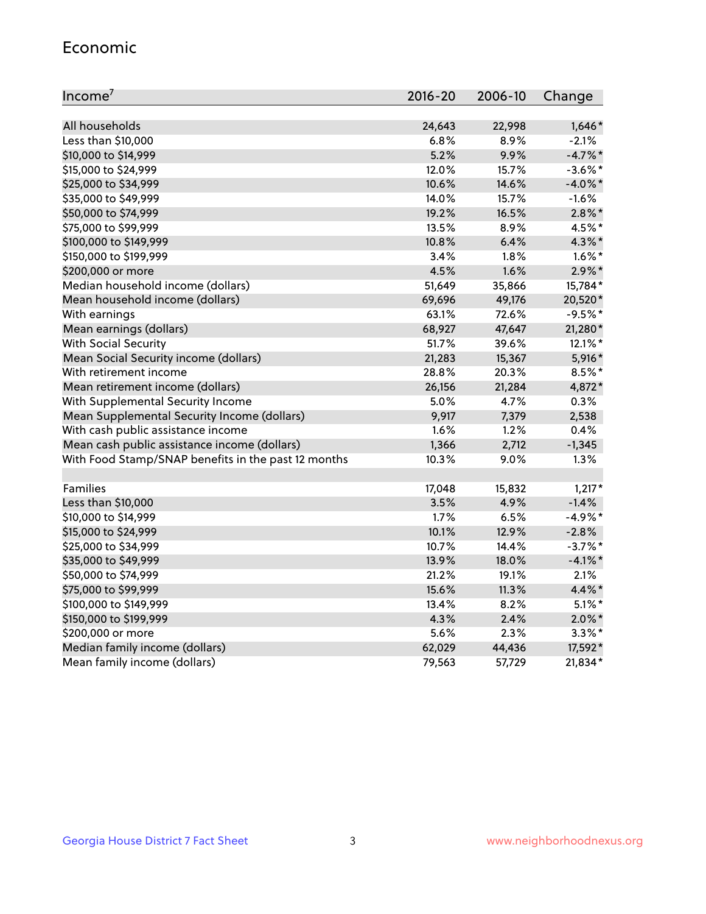#### Economic

| Income <sup>7</sup>                                 | 2016-20 | 2006-10 | Change     |
|-----------------------------------------------------|---------|---------|------------|
|                                                     |         |         |            |
| All households                                      | 24,643  | 22,998  | $1,646*$   |
| Less than \$10,000                                  | 6.8%    | 8.9%    | $-2.1%$    |
| \$10,000 to \$14,999                                | 5.2%    | 9.9%    | $-4.7%$ *  |
| \$15,000 to \$24,999                                | 12.0%   | 15.7%   | $-3.6\%$ * |
| \$25,000 to \$34,999                                | 10.6%   | 14.6%   | $-4.0\%$ * |
| \$35,000 to \$49,999                                | 14.0%   | 15.7%   | $-1.6%$    |
| \$50,000 to \$74,999                                | 19.2%   | 16.5%   | $2.8\%$ *  |
| \$75,000 to \$99,999                                | 13.5%   | 8.9%    | 4.5%*      |
| \$100,000 to \$149,999                              | 10.8%   | 6.4%    | 4.3%*      |
| \$150,000 to \$199,999                              | 3.4%    | 1.8%    | $1.6\%$ *  |
| \$200,000 or more                                   | 4.5%    | 1.6%    | $2.9\%$ *  |
| Median household income (dollars)                   | 51,649  | 35,866  | 15,784*    |
| Mean household income (dollars)                     | 69,696  | 49,176  | 20,520*    |
| With earnings                                       | 63.1%   | 72.6%   | $-9.5%$ *  |
| Mean earnings (dollars)                             | 68,927  | 47,647  | 21,280*    |
| <b>With Social Security</b>                         | 51.7%   | 39.6%   | $12.1\%$ * |
| Mean Social Security income (dollars)               | 21,283  | 15,367  | 5,916*     |
| With retirement income                              | 28.8%   | 20.3%   | 8.5%*      |
| Mean retirement income (dollars)                    | 26,156  | 21,284  | 4,872*     |
| With Supplemental Security Income                   | 5.0%    | 4.7%    | 0.3%       |
| Mean Supplemental Security Income (dollars)         | 9,917   | 7,379   | 2,538      |
| With cash public assistance income                  | 1.6%    | 1.2%    | 0.4%       |
| Mean cash public assistance income (dollars)        | 1,366   | 2,712   | $-1,345$   |
| With Food Stamp/SNAP benefits in the past 12 months | 10.3%   | 9.0%    | 1.3%       |
|                                                     |         |         |            |
| Families                                            | 17,048  | 15,832  | $1,217*$   |
| Less than \$10,000                                  | 3.5%    | 4.9%    | $-1.4%$    |
| \$10,000 to \$14,999                                | 1.7%    | 6.5%    | $-4.9%$ *  |
| \$15,000 to \$24,999                                | 10.1%   | 12.9%   | $-2.8%$    |
| \$25,000 to \$34,999                                | 10.7%   | 14.4%   | $-3.7%$ *  |
| \$35,000 to \$49,999                                | 13.9%   | 18.0%   | $-4.1\%$ * |
| \$50,000 to \$74,999                                | 21.2%   | 19.1%   | 2.1%       |
| \$75,000 to \$99,999                                | 15.6%   | 11.3%   | 4.4%*      |
| \$100,000 to \$149,999                              | 13.4%   | 8.2%    | $5.1\%$ *  |
| \$150,000 to \$199,999                              | 4.3%    | 2.4%    | $2.0\%$ *  |
| \$200,000 or more                                   | 5.6%    | 2.3%    | $3.3\%$ *  |
| Median family income (dollars)                      | 62,029  | 44,436  | 17,592*    |
| Mean family income (dollars)                        | 79,563  | 57,729  | 21,834*    |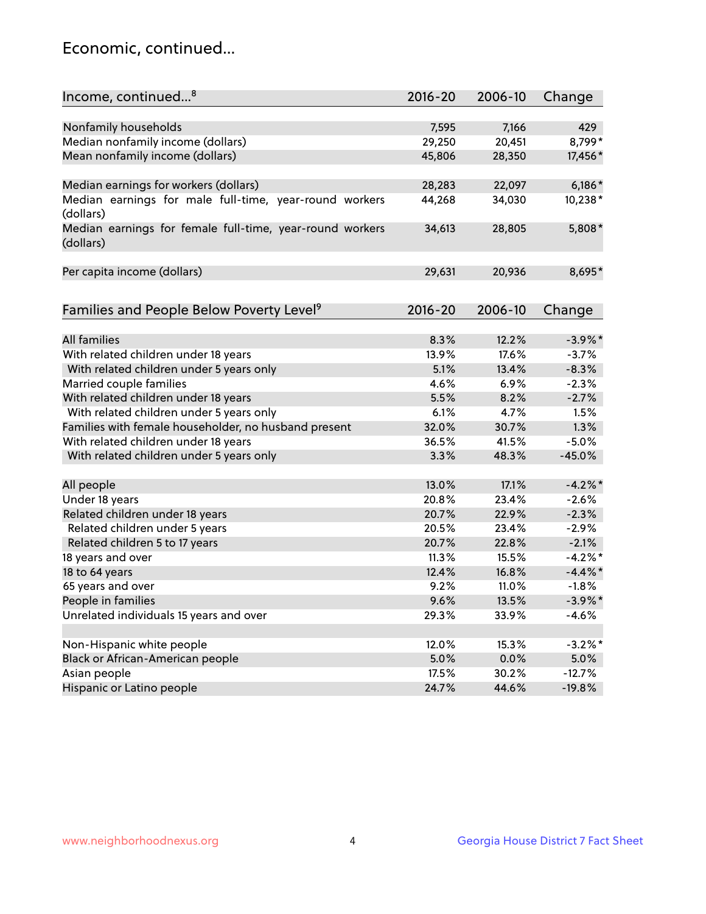## Economic, continued...

| Income, continued <sup>8</sup>                                        | $2016 - 20$ | 2006-10 | Change     |
|-----------------------------------------------------------------------|-------------|---------|------------|
|                                                                       |             |         |            |
| Nonfamily households                                                  | 7,595       | 7,166   | 429        |
| Median nonfamily income (dollars)                                     | 29,250      | 20,451  | 8,799*     |
| Mean nonfamily income (dollars)                                       | 45,806      | 28,350  | 17,456*    |
| Median earnings for workers (dollars)                                 | 28,283      | 22,097  | $6,186*$   |
| Median earnings for male full-time, year-round workers<br>(dollars)   | 44,268      | 34,030  | 10,238*    |
| Median earnings for female full-time, year-round workers<br>(dollars) | 34,613      | 28,805  | 5,808*     |
| Per capita income (dollars)                                           | 29,631      | 20,936  | 8,695*     |
| Families and People Below Poverty Level <sup>9</sup>                  | 2016-20     | 2006-10 | Change     |
|                                                                       |             |         |            |
| <b>All families</b>                                                   | 8.3%        | 12.2%   | $-3.9\%$ * |
| With related children under 18 years                                  | 13.9%       | 17.6%   | $-3.7%$    |
| With related children under 5 years only                              | 5.1%        | 13.4%   | $-8.3%$    |
| Married couple families                                               | 4.6%        | 6.9%    | $-2.3%$    |
| With related children under 18 years                                  | 5.5%        | 8.2%    | $-2.7%$    |
| With related children under 5 years only                              | 6.1%        | 4.7%    | 1.5%       |
| Families with female householder, no husband present                  | 32.0%       | 30.7%   | 1.3%       |
| With related children under 18 years                                  | 36.5%       | 41.5%   | $-5.0%$    |
| With related children under 5 years only                              | 3.3%        | 48.3%   | $-45.0%$   |
| All people                                                            | 13.0%       | 17.1%   | $-4.2%$ *  |
| Under 18 years                                                        | 20.8%       | 23.4%   | $-2.6%$    |
| Related children under 18 years                                       | 20.7%       | 22.9%   | $-2.3%$    |
| Related children under 5 years                                        | 20.5%       | 23.4%   | $-2.9%$    |
| Related children 5 to 17 years                                        | 20.7%       | 22.8%   | $-2.1%$    |
| 18 years and over                                                     | 11.3%       | 15.5%   | $-4.2%$    |
| 18 to 64 years                                                        | 12.4%       | 16.8%   | $-4.4\%$ * |
| 65 years and over                                                     | 9.2%        | 11.0%   | $-1.8%$    |
| People in families                                                    | 9.6%        | 13.5%   | $-3.9\%$ * |
| Unrelated individuals 15 years and over                               | 29.3%       | 33.9%   | $-4.6%$    |
|                                                                       |             |         |            |
| Non-Hispanic white people                                             | 12.0%       | 15.3%   | $-3.2\%$ * |
| Black or African-American people                                      | 5.0%        | 0.0%    | 5.0%       |
| Asian people                                                          | 17.5%       | 30.2%   | $-12.7%$   |
| Hispanic or Latino people                                             | 24.7%       | 44.6%   | $-19.8%$   |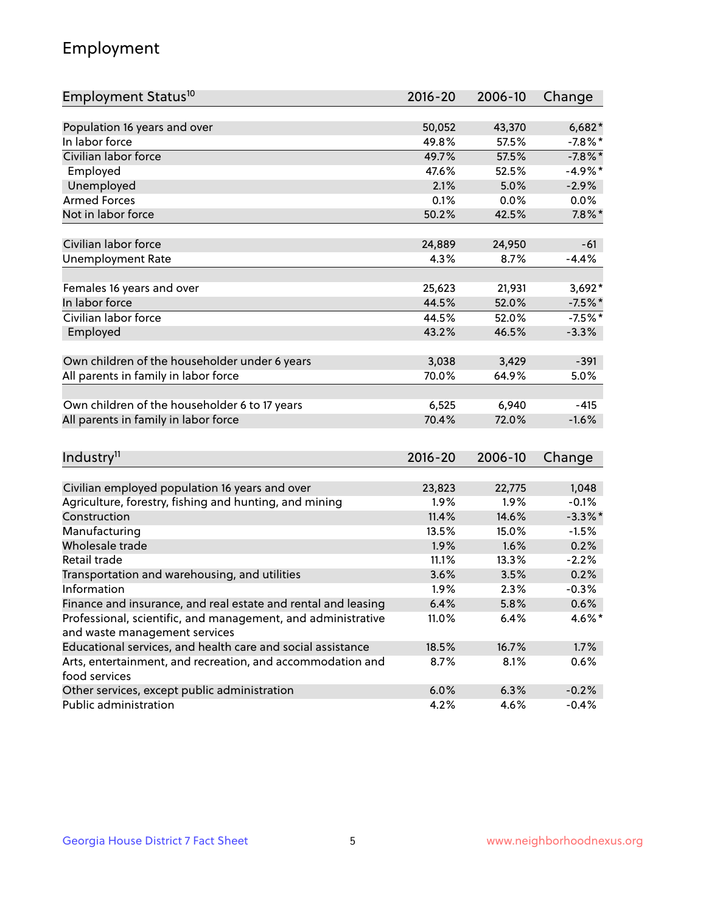## Employment

| Employment Status <sup>10</sup>                                             | $2016 - 20$ | 2006-10 | Change     |
|-----------------------------------------------------------------------------|-------------|---------|------------|
|                                                                             |             |         |            |
| Population 16 years and over                                                | 50,052      | 43,370  | $6,682*$   |
| In labor force                                                              | 49.8%       | 57.5%   | $-7.8\%$ * |
| Civilian labor force                                                        | 49.7%       | 57.5%   | $-7.8\%$ * |
| Employed                                                                    | 47.6%       | 52.5%   | $-4.9%$ *  |
| Unemployed                                                                  | 2.1%        | 5.0%    | $-2.9%$    |
| <b>Armed Forces</b>                                                         | 0.1%        | 0.0%    | 0.0%       |
| Not in labor force                                                          | 50.2%       | 42.5%   | $7.8\%$ *  |
| Civilian labor force                                                        | 24,889      | 24,950  | $-61$      |
|                                                                             |             |         | $-4.4%$    |
| <b>Unemployment Rate</b>                                                    | 4.3%        | 8.7%    |            |
| Females 16 years and over                                                   | 25,623      | 21,931  | $3,692*$   |
| In labor force                                                              | 44.5%       | 52.0%   | $-7.5%$ *  |
| Civilian labor force                                                        | 44.5%       | 52.0%   | $-7.5%$ *  |
| Employed                                                                    | 43.2%       | 46.5%   | $-3.3%$    |
|                                                                             |             |         |            |
| Own children of the householder under 6 years                               | 3,038       | 3,429   | $-391$     |
| All parents in family in labor force                                        | 70.0%       | 64.9%   | 5.0%       |
| Own children of the householder 6 to 17 years                               | 6,525       | 6,940   | $-415$     |
| All parents in family in labor force                                        | 70.4%       | 72.0%   | $-1.6%$    |
|                                                                             |             |         |            |
| Industry <sup>11</sup>                                                      | $2016 - 20$ | 2006-10 | Change     |
|                                                                             |             |         |            |
| Civilian employed population 16 years and over                              | 23,823      | 22,775  | 1,048      |
| Agriculture, forestry, fishing and hunting, and mining                      | 1.9%        | 1.9%    | $-0.1%$    |
| Construction                                                                | 11.4%       | 14.6%   | $-3.3\%$ * |
| Manufacturing                                                               | 13.5%       | 15.0%   | $-1.5%$    |
| Wholesale trade                                                             | 1.9%        | 1.6%    | 0.2%       |
| Retail trade                                                                | 11.1%       | 13.3%   | $-2.2%$    |
| Transportation and warehousing, and utilities                               | 3.6%        | 3.5%    | 0.2%       |
| Information                                                                 | 1.9%        | 2.3%    | $-0.3%$    |
| Finance and insurance, and real estate and rental and leasing               | 6.4%        | 5.8%    | 0.6%       |
| Professional, scientific, and management, and administrative                | 11.0%       | 6.4%    | 4.6%*      |
| and waste management services                                               |             |         |            |
| Educational services, and health care and social assistance                 | 18.5%       | 16.7%   | 1.7%       |
| Arts, entertainment, and recreation, and accommodation and<br>food services | 8.7%        | 8.1%    | 0.6%       |
| Other services, except public administration                                | 6.0%        | 6.3%    | $-0.2%$    |
| Public administration                                                       | 4.2%        | 4.6%    | $-0.4%$    |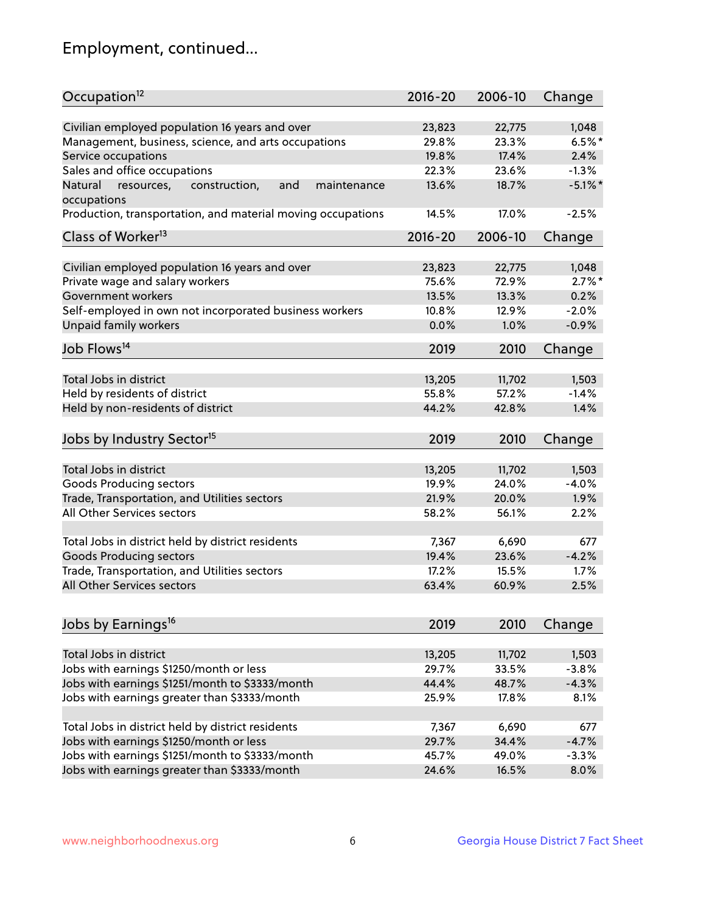## Employment, continued...

| Occupation <sup>12</sup>                                                    | $2016 - 20$ | 2006-10 | Change               |
|-----------------------------------------------------------------------------|-------------|---------|----------------------|
| Civilian employed population 16 years and over                              | 23,823      |         |                      |
|                                                                             |             | 22,775  | 1,048                |
| Management, business, science, and arts occupations                         | 29.8%       | 23.3%   | $6.5%$ *             |
| Service occupations                                                         | 19.8%       | 17.4%   | 2.4%                 |
| Sales and office occupations                                                | 22.3%       | 23.6%   | $-1.3%$              |
| Natural<br>and<br>resources,<br>construction,<br>maintenance<br>occupations | 13.6%       | 18.7%   | $-5.1\%$ *           |
| Production, transportation, and material moving occupations                 | 14.5%       | 17.0%   | $-2.5%$              |
| Class of Worker <sup>13</sup>                                               | 2016-20     | 2006-10 | Change               |
|                                                                             |             |         |                      |
| Civilian employed population 16 years and over                              | 23,823      | 22,775  | 1,048                |
| Private wage and salary workers                                             | 75.6%       | 72.9%   | $2.7\%$ <sup>*</sup> |
| Government workers                                                          | 13.5%       | 13.3%   | 0.2%                 |
| Self-employed in own not incorporated business workers                      | 10.8%       | 12.9%   | $-2.0%$              |
| Unpaid family workers                                                       | 0.0%        | 1.0%    | $-0.9%$              |
| Job Flows <sup>14</sup>                                                     | 2019        | 2010    | Change               |
|                                                                             |             |         |                      |
| Total Jobs in district                                                      | 13,205      | 11,702  | 1,503                |
| Held by residents of district                                               | 55.8%       | 57.2%   | $-1.4%$              |
| Held by non-residents of district                                           | 44.2%       | 42.8%   | 1.4%                 |
|                                                                             |             |         |                      |
| Jobs by Industry Sector <sup>15</sup>                                       | 2019        | 2010    | Change               |
| Total Jobs in district                                                      | 13,205      | 11,702  | 1,503                |
| Goods Producing sectors                                                     | 19.9%       | 24.0%   | $-4.0%$              |
| Trade, Transportation, and Utilities sectors                                | 21.9%       | 20.0%   | 1.9%                 |
| All Other Services sectors                                                  |             |         |                      |
|                                                                             | 58.2%       | 56.1%   | 2.2%                 |
| Total Jobs in district held by district residents                           | 7,367       | 6,690   | 677                  |
| <b>Goods Producing sectors</b>                                              | 19.4%       | 23.6%   | $-4.2%$              |
| Trade, Transportation, and Utilities sectors                                | 17.2%       | 15.5%   | 1.7%                 |
| All Other Services sectors                                                  | 63.4%       | 60.9%   | 2.5%                 |
|                                                                             |             |         |                      |
| Jobs by Earnings <sup>16</sup>                                              | 2019        | 2010    | Change               |
|                                                                             |             |         |                      |
| Total Jobs in district                                                      | 13,205      | 11,702  | 1,503                |
| Jobs with earnings \$1250/month or less                                     | 29.7%       | 33.5%   | $-3.8%$              |
| Jobs with earnings \$1251/month to \$3333/month                             | 44.4%       | 48.7%   | $-4.3%$              |
| Jobs with earnings greater than \$3333/month                                | 25.9%       | 17.8%   | 8.1%                 |
|                                                                             |             |         |                      |
| Total Jobs in district held by district residents                           | 7,367       | 6,690   | 677                  |
| Jobs with earnings \$1250/month or less                                     | 29.7%       | 34.4%   | $-4.7%$              |
| Jobs with earnings \$1251/month to \$3333/month                             | 45.7%       | 49.0%   | $-3.3%$              |
| Jobs with earnings greater than \$3333/month                                | 24.6%       | 16.5%   | 8.0%                 |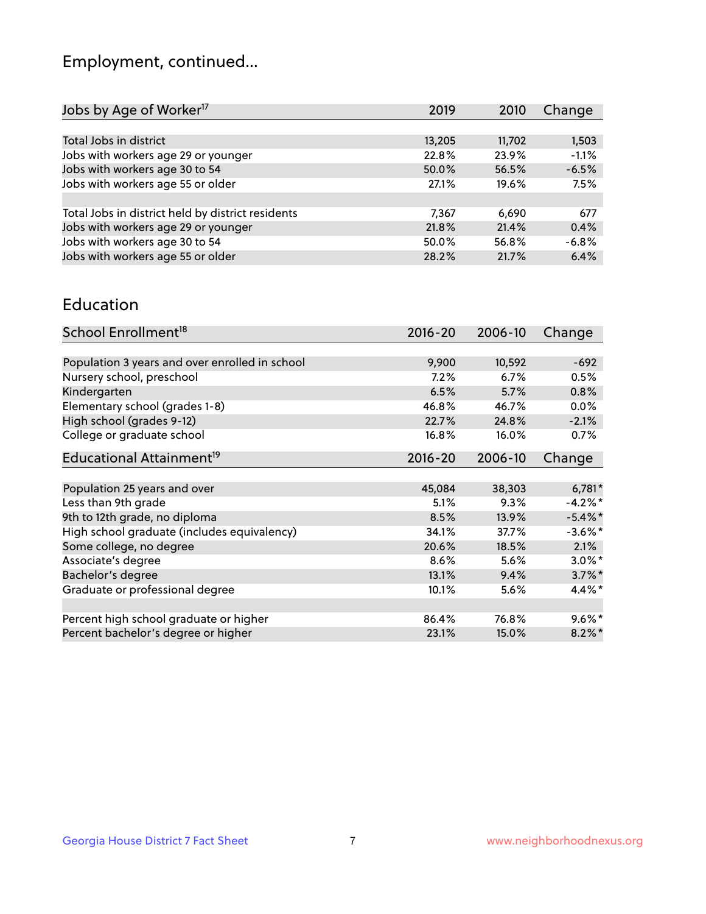## Employment, continued...

| 2019   | 2010   | Change  |
|--------|--------|---------|
|        |        |         |
| 13,205 | 11,702 | 1,503   |
| 22.8%  | 23.9%  | $-1.1%$ |
| 50.0%  | 56.5%  | $-6.5%$ |
| 27.1%  | 19.6%  | 7.5%    |
|        |        |         |
| 7,367  | 6,690  | 677     |
| 21.8%  | 21.4%  | 0.4%    |
| 50.0%  | 56.8%  | $-6.8%$ |
| 28.2%  | 21.7%  | 6.4%    |
|        |        |         |

#### Education

| School Enrollment <sup>18</sup>                | $2016 - 20$ | 2006-10 | Change     |
|------------------------------------------------|-------------|---------|------------|
|                                                |             |         |            |
| Population 3 years and over enrolled in school | 9,900       | 10,592  | $-692$     |
| Nursery school, preschool                      | 7.2%        | 6.7%    | 0.5%       |
| Kindergarten                                   | 6.5%        | 5.7%    | 0.8%       |
| Elementary school (grades 1-8)                 | 46.8%       | 46.7%   | 0.0%       |
| High school (grades 9-12)                      | 22.7%       | 24.8%   | $-2.1%$    |
| College or graduate school                     | 16.8%       | 16.0%   | 0.7%       |
| Educational Attainment <sup>19</sup>           | $2016 - 20$ | 2006-10 | Change     |
|                                                |             |         |            |
| Population 25 years and over                   | 45,084      | 38,303  | $6,781*$   |
| Less than 9th grade                            | 5.1%        | 9.3%    | $-4.2%$ *  |
| 9th to 12th grade, no diploma                  | 8.5%        | 13.9%   | $-5.4\%$ * |
| High school graduate (includes equivalency)    | 34.1%       | 37.7%   | $-3.6\%$ * |
| Some college, no degree                        | 20.6%       | 18.5%   | $2.1\%$    |
| Associate's degree                             | 8.6%        | 5.6%    | $3.0\%$ *  |
| Bachelor's degree                              | 13.1%       | 9.4%    | $3.7\%$ *  |
| Graduate or professional degree                | 10.1%       | 5.6%    | $4.4\%$ *  |
|                                                |             |         |            |
| Percent high school graduate or higher         | 86.4%       | 76.8%   | $9.6\%*$   |
| Percent bachelor's degree or higher            | 23.1%       | 15.0%   | $8.2\%$ *  |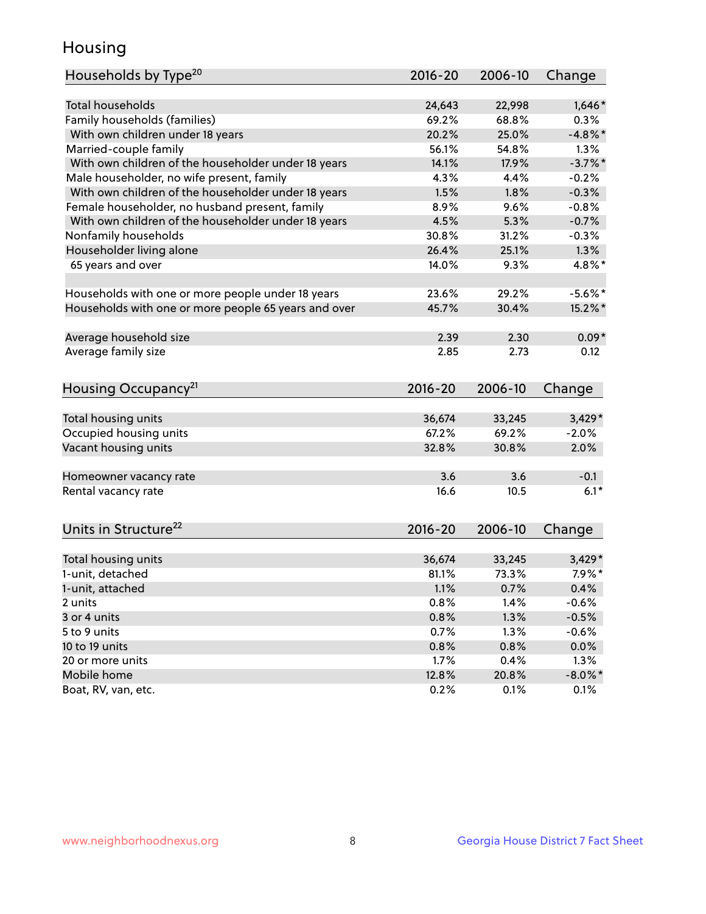## Housing

| Households by Type <sup>20</sup>                     | 2016-20 | 2006-10 | Change     |
|------------------------------------------------------|---------|---------|------------|
|                                                      |         |         |            |
| <b>Total households</b>                              | 24,643  | 22,998  | $1,646*$   |
| Family households (families)                         | 69.2%   | 68.8%   | 0.3%       |
| With own children under 18 years                     | 20.2%   | 25.0%   | $-4.8\%$ * |
| Married-couple family                                | 56.1%   | 54.8%   | 1.3%       |
| With own children of the householder under 18 years  | 14.1%   | 17.9%   | $-3.7\%$ * |
| Male householder, no wife present, family            | 4.3%    | 4.4%    | $-0.2%$    |
| With own children of the householder under 18 years  | 1.5%    | 1.8%    | $-0.3%$    |
| Female householder, no husband present, family       | 8.9%    | 9.6%    | $-0.8%$    |
| With own children of the householder under 18 years  | 4.5%    | 5.3%    | $-0.7%$    |
| Nonfamily households                                 | 30.8%   | 31.2%   | $-0.3%$    |
| Householder living alone                             | 26.4%   | 25.1%   | 1.3%       |
| 65 years and over                                    | 14.0%   | 9.3%    | 4.8%*      |
|                                                      |         |         |            |
| Households with one or more people under 18 years    | 23.6%   | 29.2%   | $-5.6\%$ * |
| Households with one or more people 65 years and over | 45.7%   | 30.4%   | 15.2%*     |
|                                                      |         |         |            |
| Average household size                               | 2.39    | 2.30    | $0.09*$    |
| Average family size                                  | 2.85    | 2.73    | 0.12       |
|                                                      |         |         |            |
| Housing Occupancy <sup>21</sup>                      | 2016-20 | 2006-10 | Change     |
|                                                      |         |         |            |
| Total housing units                                  | 36,674  | 33,245  | $3,429*$   |
| Occupied housing units                               | 67.2%   | 69.2%   | $-2.0%$    |
| Vacant housing units                                 | 32.8%   | 30.8%   | 2.0%       |
|                                                      |         |         |            |
| Homeowner vacancy rate                               | 3.6     | 3.6     | $-0.1$     |
| Rental vacancy rate                                  | 16.6    | 10.5    | $6.1*$     |
|                                                      |         |         |            |
| Units in Structure <sup>22</sup>                     | 2016-20 | 2006-10 | Change     |
| Total housing units                                  | 36,674  | 33,245  | $3,429*$   |
| 1-unit, detached                                     | 81.1%   | 73.3%   | $7.9\%$ *  |
|                                                      | 1.1%    | 0.7%    | 0.4%       |
| 1-unit, attached<br>2 units                          | 0.8%    | 1.4%    | $-0.6%$    |
| 3 or 4 units                                         | 0.8%    | 1.3%    | $-0.5%$    |
|                                                      |         |         |            |
| 5 to 9 units                                         | 0.7%    | 1.3%    | $-0.6%$    |
| 10 to 19 units                                       | 0.8%    | 0.8%    | 0.0%       |
| 20 or more units                                     | 1.7%    | 0.4%    | 1.3%       |
| Mobile home                                          | 12.8%   | 20.8%   | $-8.0\%$ * |
| Boat, RV, van, etc.                                  | 0.2%    | 0.1%    | 0.1%       |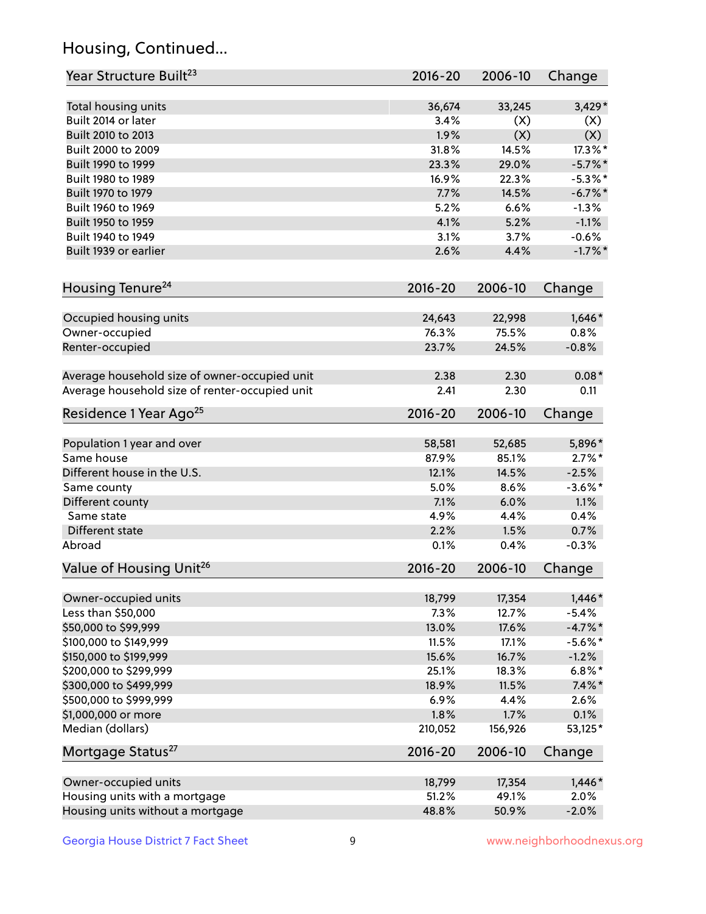## Housing, Continued...

| Year Structure Built <sup>23</sup>             | 2016-20     | 2006-10 | Change     |
|------------------------------------------------|-------------|---------|------------|
| Total housing units                            | 36,674      | 33,245  | $3,429*$   |
| Built 2014 or later                            | 3.4%        | (X)     | (X)        |
| Built 2010 to 2013                             | 1.9%        | (X)     | (X)        |
| Built 2000 to 2009                             | 31.8%       | 14.5%   | $17.3\%$ * |
| Built 1990 to 1999                             | 23.3%       | 29.0%   | $-5.7\%$ * |
| Built 1980 to 1989                             | 16.9%       | 22.3%   | $-5.3\%$ * |
| Built 1970 to 1979                             | 7.7%        | 14.5%   | $-6.7\%$ * |
| Built 1960 to 1969                             | 5.2%        | 6.6%    | $-1.3%$    |
| Built 1950 to 1959                             | 4.1%        | 5.2%    | $-1.1%$    |
| Built 1940 to 1949                             | 3.1%        | 3.7%    | $-0.6%$    |
| Built 1939 or earlier                          | 2.6%        | 4.4%    | $-1.7%$ *  |
| Housing Tenure <sup>24</sup>                   | $2016 - 20$ | 2006-10 | Change     |
| Occupied housing units                         | 24,643      | 22,998  | $1,646*$   |
| Owner-occupied                                 | 76.3%       | 75.5%   | 0.8%       |
| Renter-occupied                                | 23.7%       | 24.5%   | $-0.8%$    |
| Average household size of owner-occupied unit  | 2.38        | 2.30    | $0.08*$    |
| Average household size of renter-occupied unit | 2.41        | 2.30    | 0.11       |
| Residence 1 Year Ago <sup>25</sup>             | 2016-20     | 2006-10 | Change     |
| Population 1 year and over                     | 58,581      | 52,685  | 5,896*     |
| Same house                                     | 87.9%       | 85.1%   | $2.7\%$ *  |
| Different house in the U.S.                    | 12.1%       | 14.5%   | $-2.5%$    |
| Same county                                    | 5.0%        | 8.6%    | $-3.6\%$ * |
| Different county                               | 7.1%        | 6.0%    | 1.1%       |
| Same state                                     | 4.9%        | 4.4%    | 0.4%       |
| Different state                                | 2.2%        | 1.5%    | 0.7%       |
| Abroad                                         | 0.1%        | 0.4%    | $-0.3%$    |
| Value of Housing Unit <sup>26</sup>            | $2016 - 20$ | 2006-10 | Change     |
| Owner-occupied units                           | 18,799      | 17,354  | $1,446*$   |
| Less than \$50,000                             | 7.3%        | 12.7%   | $-5.4%$    |
| \$50,000 to \$99,999                           | 13.0%       | 17.6%   | $-4.7%$ *  |
| \$100,000 to \$149,999                         | 11.5%       | 17.1%   | $-5.6\%$ * |
| \$150,000 to \$199,999                         | 15.6%       | 16.7%   | $-1.2%$    |
| \$200,000 to \$299,999                         | 25.1%       | 18.3%   | $6.8\%$ *  |
| \$300,000 to \$499,999                         | 18.9%       | 11.5%   | $7.4\%$ *  |
| \$500,000 to \$999,999                         | 6.9%        | 4.4%    | 2.6%       |
| \$1,000,000 or more                            | 1.8%        | 1.7%    | 0.1%       |
| Median (dollars)                               | 210,052     | 156,926 | 53,125*    |
| Mortgage Status <sup>27</sup>                  | $2016 - 20$ | 2006-10 | Change     |
| Owner-occupied units                           | 18,799      | 17,354  | $1,446*$   |
| Housing units with a mortgage                  | 51.2%       | 49.1%   | 2.0%       |
| Housing units without a mortgage               | 48.8%       | 50.9%   | $-2.0%$    |
|                                                |             |         |            |

Georgia House District 7 Fact Sheet 9 9 9 Www.neighborhoodnexus.org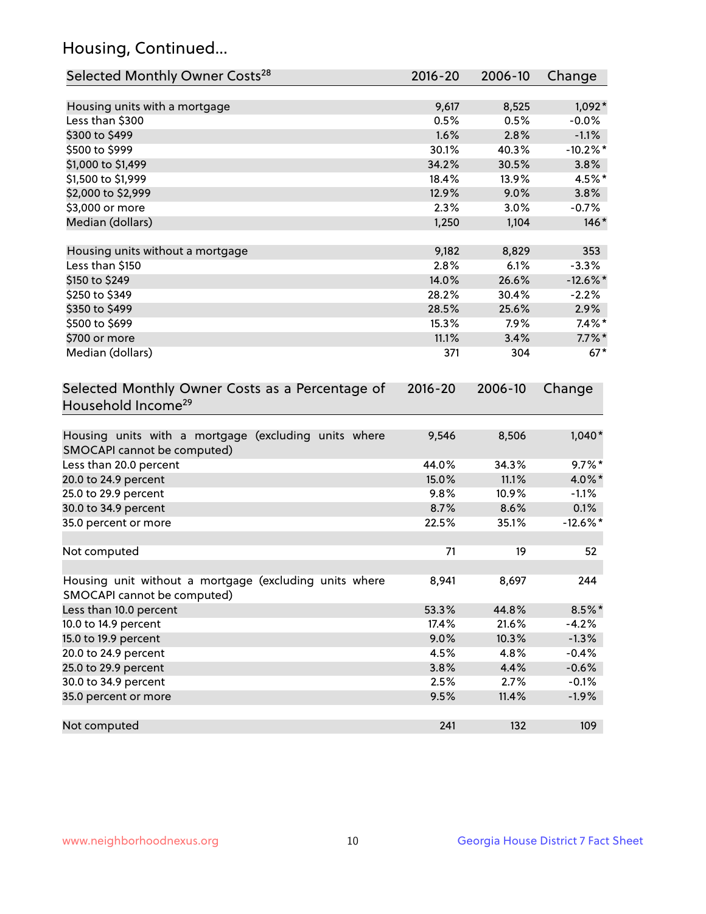## Housing, Continued...

| Selected Monthly Owner Costs <sup>28</sup>                                            | 2016-20     | 2006-10 | Change      |
|---------------------------------------------------------------------------------------|-------------|---------|-------------|
| Housing units with a mortgage                                                         | 9,617       | 8,525   | $1,092*$    |
| Less than \$300                                                                       | 0.5%        | 0.5%    | $-0.0%$     |
| \$300 to \$499                                                                        | 1.6%        | 2.8%    | $-1.1%$     |
| \$500 to \$999                                                                        | 30.1%       | 40.3%   | $-10.2\%$ * |
| \$1,000 to \$1,499                                                                    | 34.2%       | 30.5%   | 3.8%        |
| \$1,500 to \$1,999                                                                    | 18.4%       | 13.9%   | 4.5%*       |
| \$2,000 to \$2,999                                                                    | 12.9%       | 9.0%    | 3.8%        |
| \$3,000 or more                                                                       | 2.3%        | 3.0%    | $-0.7%$     |
| Median (dollars)                                                                      | 1,250       | 1,104   | $146*$      |
| Housing units without a mortgage                                                      | 9,182       | 8,829   | 353         |
| Less than \$150                                                                       | 2.8%        | 6.1%    | $-3.3%$     |
| \$150 to \$249                                                                        | 14.0%       | 26.6%   | $-12.6\%$ * |
| \$250 to \$349                                                                        | 28.2%       | 30.4%   | $-2.2%$     |
| \$350 to \$499                                                                        | 28.5%       | 25.6%   | 2.9%        |
| \$500 to \$699                                                                        | 15.3%       | 7.9%    | $7.4\%$ *   |
| \$700 or more                                                                         | 11.1%       | 3.4%    | $7.7\%$ *   |
| Median (dollars)                                                                      | 371         | 304     | $67*$       |
| Selected Monthly Owner Costs as a Percentage of<br>Household Income <sup>29</sup>     | $2016 - 20$ | 2006-10 | Change      |
| Housing units with a mortgage (excluding units where<br>SMOCAPI cannot be computed)   | 9,546       | 8,506   | $1,040*$    |
| Less than 20.0 percent                                                                | 44.0%       | 34.3%   | $9.7\%$ *   |
| 20.0 to 24.9 percent                                                                  | 15.0%       | 11.1%   | 4.0%*       |
| 25.0 to 29.9 percent                                                                  | 9.8%        | 10.9%   | $-1.1%$     |
| 30.0 to 34.9 percent                                                                  | 8.7%        | 8.6%    | 0.1%        |
| 35.0 percent or more                                                                  | 22.5%       | 35.1%   | $-12.6\%$ * |
| Not computed                                                                          | 71          | 19      | 52          |
| Housing unit without a mortgage (excluding units where<br>SMOCAPI cannot be computed) | 8,941       | 8,697   | 244         |
| Less than 10.0 percent                                                                | 53.3%       | 44.8%   | $8.5\%$ *   |
| 10.0 to 14.9 percent                                                                  | 17.4%       | 21.6%   | $-4.2%$     |
| 15.0 to 19.9 percent                                                                  | 9.0%        | 10.3%   | $-1.3%$     |
| 20.0 to 24.9 percent                                                                  | 4.5%        | 4.8%    | $-0.4%$     |
| 25.0 to 29.9 percent                                                                  | 3.8%        | 4.4%    | $-0.6%$     |
| 30.0 to 34.9 percent                                                                  | 2.5%        | 2.7%    | $-0.1%$     |
| 35.0 percent or more                                                                  | 9.5%        | 11.4%   | $-1.9%$     |
| Not computed                                                                          | 241         | 132     | 109         |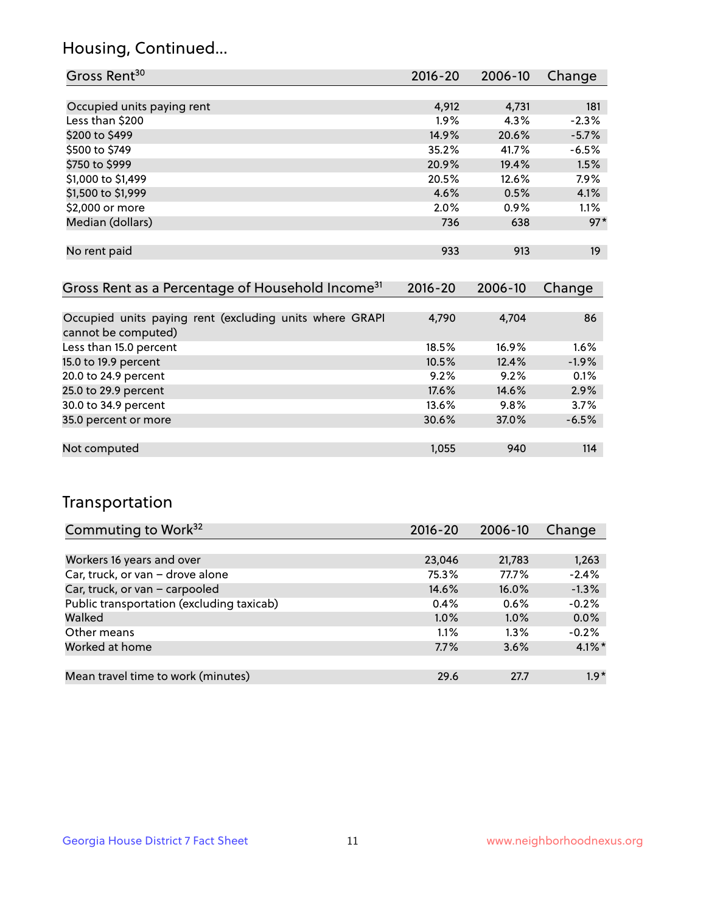## Housing, Continued...

| Gross Rent <sup>30</sup>   | 2016-20 | 2006-10 | Change  |
|----------------------------|---------|---------|---------|
|                            |         |         |         |
| Occupied units paying rent | 4,912   | 4,731   | 181     |
| Less than \$200            | 1.9%    | 4.3%    | $-2.3%$ |
| \$200 to \$499             | 14.9%   | 20.6%   | $-5.7%$ |
| \$500 to \$749             | 35.2%   | 41.7%   | $-6.5%$ |
| \$750 to \$999             | 20.9%   | 19.4%   | 1.5%    |
| \$1,000 to \$1,499         | 20.5%   | 12.6%   | 7.9%    |
| \$1,500 to \$1,999         | 4.6%    | 0.5%    | 4.1%    |
| \$2,000 or more            | 2.0%    | 0.9%    | 1.1%    |
| Median (dollars)           | 736     | 638     | $97*$   |
|                            |         |         |         |
| No rent paid               | 933     | 913     | 19      |

| Gross Rent as a Percentage of Household Income <sup>31</sup>                   | $2016 - 20$ | 2006-10 | Change  |
|--------------------------------------------------------------------------------|-------------|---------|---------|
|                                                                                |             |         |         |
| Occupied units paying rent (excluding units where GRAPI<br>cannot be computed) | 4,790       | 4,704   | 86      |
| Less than 15.0 percent                                                         | 18.5%       | 16.9%   | $1.6\%$ |
| 15.0 to 19.9 percent                                                           | 10.5%       | 12.4%   | $-1.9%$ |
| 20.0 to 24.9 percent                                                           | 9.2%        | 9.2%    | 0.1%    |
| 25.0 to 29.9 percent                                                           | 17.6%       | 14.6%   | 2.9%    |
| 30.0 to 34.9 percent                                                           | 13.6%       | 9.8%    | 3.7%    |
| 35.0 percent or more                                                           | 30.6%       | 37.0%   | $-6.5%$ |
|                                                                                |             |         |         |
| Not computed                                                                   | 1,055       | 940     | 114     |

## Transportation

| Commuting to Work <sup>32</sup>           | 2016-20 | 2006-10 | Change    |
|-------------------------------------------|---------|---------|-----------|
|                                           |         |         |           |
| Workers 16 years and over                 | 23,046  | 21,783  | 1,263     |
| Car, truck, or van - drove alone          | 75.3%   | 77.7%   | $-2.4%$   |
| Car, truck, or van - carpooled            | 14.6%   | 16.0%   | $-1.3%$   |
| Public transportation (excluding taxicab) | 0.4%    | 0.6%    | $-0.2%$   |
| Walked                                    | 1.0%    | 1.0%    | 0.0%      |
| Other means                               | 1.1%    | 1.3%    | $-0.2%$   |
| Worked at home                            | 7.7%    | 3.6%    | $4.1\%$ * |
|                                           |         |         |           |
| Mean travel time to work (minutes)        | 29.6    | 27.7    | $1.9*$    |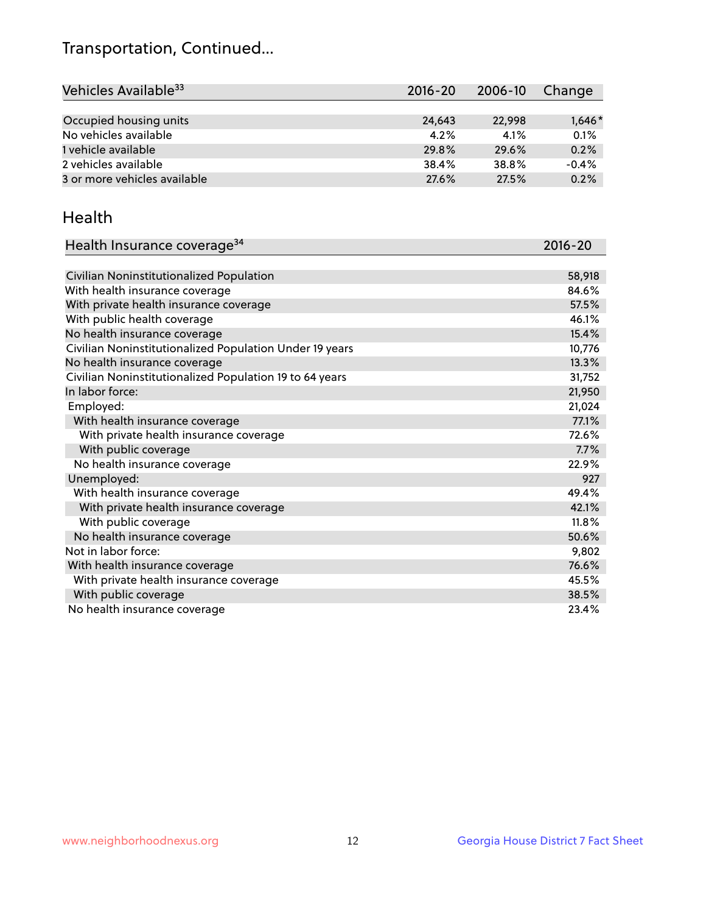## Transportation, Continued...

| Vehicles Available <sup>33</sup> | 2016-20 | 2006-10 | Change   |
|----------------------------------|---------|---------|----------|
|                                  |         |         |          |
| Occupied housing units           | 24,643  | 22,998  | $1,646*$ |
| No vehicles available            | 4.2%    | 4.1%    | 0.1%     |
| 1 vehicle available              | 29.8%   | 29.6%   | 0.2%     |
| 2 vehicles available             | 38.4%   | 38.8%   | $-0.4%$  |
| 3 or more vehicles available     | 27.6%   | 27.5%   | 0.2%     |

#### Health

| Health Insurance coverage <sup>34</sup>                 | 2016-20 |
|---------------------------------------------------------|---------|
|                                                         |         |
| Civilian Noninstitutionalized Population                | 58,918  |
| With health insurance coverage                          | 84.6%   |
| With private health insurance coverage                  | 57.5%   |
| With public health coverage                             | 46.1%   |
| No health insurance coverage                            | 15.4%   |
| Civilian Noninstitutionalized Population Under 19 years | 10,776  |
| No health insurance coverage                            | 13.3%   |
| Civilian Noninstitutionalized Population 19 to 64 years | 31,752  |
| In labor force:                                         | 21,950  |
| Employed:                                               | 21,024  |
| With health insurance coverage                          | 77.1%   |
| With private health insurance coverage                  | 72.6%   |
| With public coverage                                    | 7.7%    |
| No health insurance coverage                            | 22.9%   |
| Unemployed:                                             | 927     |
| With health insurance coverage                          | 49.4%   |
| With private health insurance coverage                  | 42.1%   |
| With public coverage                                    | 11.8%   |
| No health insurance coverage                            | 50.6%   |
| Not in labor force:                                     | 9,802   |
| With health insurance coverage                          | 76.6%   |
| With private health insurance coverage                  | 45.5%   |
| With public coverage                                    | 38.5%   |
| No health insurance coverage                            | 23.4%   |